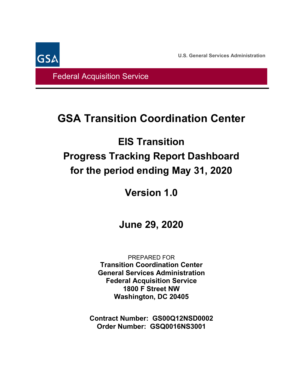**U.S. General Services Administration**

Federal Acquisition Service

**GSA** 

# **GSA Transition Coordination Center**

# **EIS Transition Progress Tracking Report Dashboard for the period ending May 31, 2020**

# **Version 1.0**

# **June 29, 2020**

PREPARED FOR **Transition Coordination Center General Services Administration Federal Acquisition Service 1800 F Street NW Washington, DC 20405**

**Contract Number: GS00Q12NSD0002 Order Number: GSQ0016NS3001**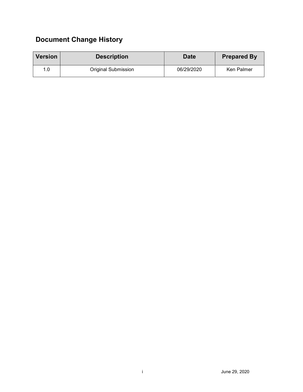## **Document Change History**

| <b>Version</b> | <b>Description</b>  | <b>Date</b> | <b>Prepared By</b> |  |  |
|----------------|---------------------|-------------|--------------------|--|--|
| 1.0            | Original Submission | 06/29/2020  | Ken Palmer         |  |  |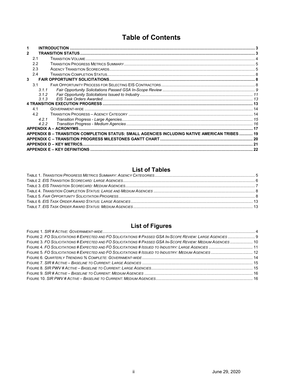### **Table of Contents**

|              |                | <b>INTRODUCTION</b>                                                                           |  |
|--------------|----------------|-----------------------------------------------------------------------------------------------|--|
| $\mathbf{2}$ |                |                                                                                               |  |
|              | 2.1            |                                                                                               |  |
|              | 2.2            |                                                                                               |  |
|              | 2.3            |                                                                                               |  |
|              | 2.4            |                                                                                               |  |
| 3            |                |                                                                                               |  |
|              | 3 <sub>1</sub> |                                                                                               |  |
|              | 3.1.1          |                                                                                               |  |
|              | 3.1.2          |                                                                                               |  |
|              | 3.1.3          |                                                                                               |  |
|              |                |                                                                                               |  |
|              | 41             |                                                                                               |  |
|              | 4.2            |                                                                                               |  |
|              | 4.2.1          |                                                                                               |  |
|              | 4.2.2          |                                                                                               |  |
|              |                |                                                                                               |  |
|              |                | APPENDIX B – TRANSITION COMPLETION STATUS: SMALL AGENCIES INCLUDING NATIVE AMERICAN TRIBES 19 |  |
|              |                |                                                                                               |  |
|              |                |                                                                                               |  |
|              |                |                                                                                               |  |

#### **List of Tables**

### **List of Figures**

| <u>EISL OF HYULES</u>                                                                                        |  |
|--------------------------------------------------------------------------------------------------------------|--|
|                                                                                                              |  |
|                                                                                                              |  |
| FIGURE 3. FO SOLICITATIONS # EXPECTED AND FO SOLICITATIONS # PASSED GSA IN-SCOPE REVIEW: MEDIUM AGENCIES  10 |  |
|                                                                                                              |  |
|                                                                                                              |  |
|                                                                                                              |  |
|                                                                                                              |  |
|                                                                                                              |  |
|                                                                                                              |  |
|                                                                                                              |  |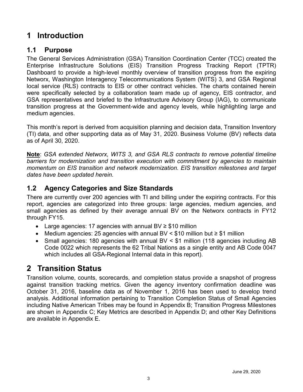### <span id="page-3-0"></span>**1 Introduction**

### **1.1 Purpose**

The General Services Administration (GSA) Transition Coordination Center (TCC) created the Enterprise Infrastructure Solutions (EIS) Transition Progress Tracking Report (TPTR) Dashboard to provide a high-level monthly overview of transition progress from the expiring Networx, Washington Interagency Telecommunications System (WITS) 3, and GSA Regional local service (RLS) contracts to EIS or other contract vehicles. The charts contained herein were specifically selected by a collaboration team made up of agency, EIS contractor, and GSA representatives and briefed to the Infrastructure Advisory Group (IAG), to communicate transition progress at the Government-wide and agency levels, while highlighting large and medium agencies.

This month's report is derived from acquisition planning and decision data, Transition Inventory (TI) data, and other supporting data as of May 31, 2020. Business Volume (BV) reflects data as of April 30, 2020.

**Note**: *GSA extended Networx, WITS 3, and GSA RLS contracts to remove potential timeline barriers for modernization and transition execution with commitment by agencies to maintain momentum on EIS transition and network modernization. EIS transition milestones and target dates have been updated herein.*

### **1.2 Agency Categories and Size Standards**

There are currently over 200 agencies with TI and billing under the expiring contracts. For this report, agencies are categorized into three groups: large agencies, medium agencies, and small agencies as defined by their average annual BV on the Networx contracts in FY12 through FY15.

- Large agencies: 17 agencies with annual BV ≥ \$10 million
- Medium agencies: 25 agencies with annual BV < \$10 million but ≥ \$1 million
- Small agencies: 180 agencies with annual BV < \$1 million (118 agencies including AB Code 0022 which represents the 62 Tribal Nations as a single entity and AB Code 0047 which includes all GSA-Regional Internal data in this report).

### <span id="page-3-1"></span>**2 Transition Status**

Transition volume, counts, scorecards, and completion status provide a snapshot of progress against transition tracking metrics. Given the agency inventory confirmation deadline was October 31, 2016, baseline data as of November 1, 2016 has been used to develop trend analysis. Additional information pertaining to Transition Completion Status of Small Agencies including Native American Tribes may be found in Appendix B; Transition Progress Milestones are shown in Appendix C; Key Metrics are described in Appendix D; and other Key Definitions are available in Appendix E.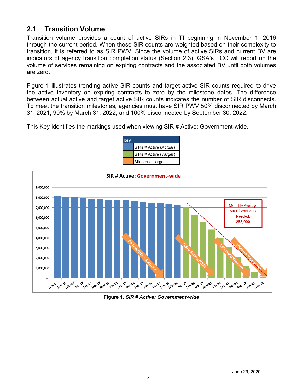### <span id="page-4-0"></span>**2.1 Transition Volume**

Transition volume provides a count of active SIRs in TI beginning in November 1, 2016 through the current period. When these SIR counts are weighted based on their complexity to transition, it is referred to as SIR PWV. Since the volume of active SIRs and current BV are indicators of agency transition completion status (Section 2.3), GSA's TCC will report on the volume of services remaining on expiring contracts and the associated BV until both volumes are zero.

Figure 1 illustrates trending active SIR counts and target active SIR counts required to drive the active inventory on expiring contracts to zero by the milestone dates. The difference between actual active and target active SIR counts indicates the number of SIR disconnects. To meet the transition milestones, agencies must have SIR PWV 50% disconnected by March 31, 2021, 90% by March 31, 2022, and 100% disconnected by September 30, 2022.

This Key identifies the markings used when viewing SIR # Active: Government-wide.





**Figure 1.** *SIR # Active: Government-wide*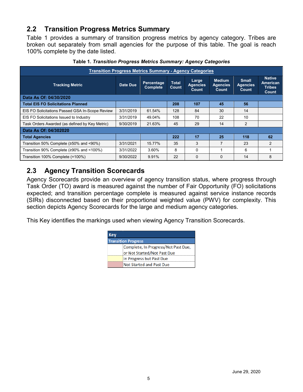### <span id="page-5-0"></span>**2.2 Transition Progress Metrics Summary**

Table 1 provides a summary of transition progress metrics by agency category. Tribes are broken out separately from small agencies for the purpose of this table. The goal is reach 100% complete by the date listed.

<span id="page-5-2"></span>

| <b>Transition Progress Metrics Summary - Agency Categories</b> |           |                               |                       |                                   |                                           |                                          |                                                            |  |  |  |
|----------------------------------------------------------------|-----------|-------------------------------|-----------------------|-----------------------------------|-------------------------------------------|------------------------------------------|------------------------------------------------------------|--|--|--|
| <b>Tracking Metric</b>                                         | Date Due  | Percentage<br><b>Complete</b> | <b>Total</b><br>Count | Large<br><b>Agencies</b><br>Count | <b>Medium</b><br><b>Agencies</b><br>Count | <b>Small</b><br><b>Agencies</b><br>Count | <b>Native</b><br>American<br><b>Tribes</b><br><b>Count</b> |  |  |  |
| Data As Of: 04/30/2020                                         |           |                               |                       |                                   |                                           |                                          |                                                            |  |  |  |
| <b>Total EIS FO Solicitations Planned</b>                      |           |                               | 208                   | 107                               | 45                                        | 56                                       |                                                            |  |  |  |
| EIS FO Solicitations Passed GSA In-Scope Review                | 3/31/2019 | 61.54%                        | 128                   | 84                                | 30                                        | 14                                       |                                                            |  |  |  |
| EIS FO Solicitations Issued to Industry                        | 3/31/2019 | 49.04%                        | 108                   | 70                                | 22                                        | 10                                       |                                                            |  |  |  |
| Task Orders Awarded (as defined by Key Metric)                 | 9/30/2019 | 21.63%                        | 45                    | 29                                | 14                                        | 2                                        |                                                            |  |  |  |
| Data As Of: 04/302020                                          |           |                               |                       |                                   |                                           |                                          |                                                            |  |  |  |
| <b>Total Agencies</b>                                          |           |                               | 222                   | 17                                | 25                                        | 118                                      | 62                                                         |  |  |  |
| Transition 50% Complete (≥50% and <90%)                        | 3/31/2021 | 15.77%                        | 35                    | 3                                 | 7                                         | 23                                       | $\mathfrak{p}$                                             |  |  |  |
| Transition 90% Complete (≥90% and <100%)                       | 3/31/2022 | 3.60%                         | 8                     | $\Omega$                          |                                           | 6                                        |                                                            |  |  |  |
| Transition 100% Complete (=100%)                               | 9/30/2022 | 9.91%                         | 22                    | $\Omega$                          | $\Omega$                                  | 14                                       | 8                                                          |  |  |  |

**Table 1.** *Transition Progress Metrics Summary: Agency Categories*

### <span id="page-5-1"></span>**2.3 Agency Transition Scorecards**

Agency Scorecards provide an overview of agency transition status, where progress through Task Order (TO) award is measured against the number of Fair Opportunity (FO) solicitations expected; and transition percentage complete is measured against service instance records (SIRs) disconnected based on their proportional weighted value (PWV) for complexity. This section depicts Agency Scorecards for the large and medium agency categories.

This Key identifies the markings used when viewing Agency Transition Scorecards.

| Kev |                                     |
|-----|-------------------------------------|
|     | <b>Transition Progress</b>          |
|     | Complete, In Progress/Not Past Due, |
|     | or Not Started/Not Past Due         |
|     | In Progress but Past Due            |
|     | Not Started and Past Due            |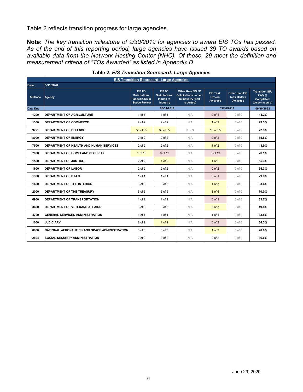Table 2 reflects transition progress for large agencies.

**Note:** *The key transition milestone of 9/30/2019 for agencies to award EIS TOs has passed. As of the end of this reporting period, large agencies have issued 39 TO awards based on available data from the Network Hosting Center (NHC). Of these, 29 meet the definition and measurement criteria of "TOs Awarded" as listed in Appendix D.*

<span id="page-6-0"></span>

|                | <b>EIS Transition Scorecard: Large Agencies</b> |                                                                         |                                                                |                                                                                     |                                             |                                                        |                                                               |  |  |
|----------------|-------------------------------------------------|-------------------------------------------------------------------------|----------------------------------------------------------------|-------------------------------------------------------------------------------------|---------------------------------------------|--------------------------------------------------------|---------------------------------------------------------------|--|--|
| Date:          | 5/31/2020                                       |                                                                         |                                                                |                                                                                     |                                             |                                                        |                                                               |  |  |
| <b>AB Code</b> | Agency                                          | EIS FO<br><b>Solicitations</b><br>Passed GSA In-<br><b>Scope Review</b> | EIS FO<br><b>Solicitations</b><br><b>Issued to</b><br>Industry | Other than EIS FO<br><b>Solicitations Issued</b><br>to Industry (Self-<br>reported) | <b>EIS Task</b><br><b>Orders</b><br>Awarded | <b>Other than EIS</b><br><b>Task Orders</b><br>Awarded | <b>Transition SIR</b><br>PWV %<br>Completed<br>(Disconnected) |  |  |
| Date Due       |                                                 |                                                                         | 03/31/2019                                                     |                                                                                     |                                             | 09/30/2019                                             | 09/30/2022                                                    |  |  |
| 1200           | DEPARTMENT OF AGRICULTURE                       | 1 of 1                                                                  | 1 of 1                                                         | N/A                                                                                 | $0$ of 1                                    | $0$ of $0$                                             | 44.2%                                                         |  |  |
| 1300           | <b>DEPARTMENT OF COMMERCE</b>                   | 2 of 2                                                                  | 2 of 2                                                         | N/A                                                                                 | $1$ of $2$                                  | $0$ of $0$                                             | 23.3%                                                         |  |  |
| 9721           | <b>DEPARTMENT OF DEFENSE</b>                    | 50 of 55                                                                | 39 of 55                                                       | 3 of 3                                                                              | 16 of 55                                    | 3 <sub>of</sub> 3                                      | 27.9%                                                         |  |  |
| 8900           | DEPARTMENT OF ENERGY                            | $2$ of $2$                                                              | 2 of 2                                                         | N/A                                                                                 | $0$ of $2$                                  | $0$ of $0$                                             | 35.6%                                                         |  |  |
| 7500           | DEPARTMENT OF HEALTH AND HUMAN SERVICES         | 2 of 2                                                                  | 2 of 2                                                         | N/A                                                                                 | 1 <sub>of</sub> 2                           | $0$ of $0$                                             | 48.9%                                                         |  |  |
| 7000           | DEPARTMENT OF HOMELAND SECURITY                 | 1 of 19                                                                 | 0 of 19                                                        | N/A                                                                                 | 0 of 19                                     | $0$ of $0$                                             | 26.1%                                                         |  |  |
| 1500           | <b>DEPARTMENT OF JUSTICE</b>                    | $2$ of $2$                                                              | $1$ of $2$                                                     | N/A                                                                                 | $1$ of $2$                                  | $0$ of $0$                                             | 55.3%                                                         |  |  |
| 1600           | <b>DEPARTMENT OF LABOR</b>                      | 2 of 2                                                                  | 2 of 2                                                         | N/A                                                                                 | $0$ of $2$                                  | $0$ of $0$                                             | 54.3%                                                         |  |  |
| 1900           | <b>DEPARTMENT OF STATE</b>                      | 1 of 1                                                                  | 1 of 1                                                         | N/A                                                                                 | $0$ of 1                                    | $0$ of $0$                                             | 29.8%                                                         |  |  |
| 1400           | DEPARTMENT OF THE INTERIOR                      | 3 of 3                                                                  | 3 of 3                                                         | N/A                                                                                 | $1$ of $3$                                  | $0$ of $0$                                             | 33.4%                                                         |  |  |
| 2000           | DEPARTMENT OF THE TREASURY                      | 6 of 6                                                                  | 6 of 6                                                         | N/A                                                                                 | 3 of 6                                      | $0$ of $0$                                             | 70.0%                                                         |  |  |
| 6900           | DEPARTMENT OF TRANSPORTATION                    | 1 of 1                                                                  | $1$ of $1$                                                     | N/A                                                                                 | $0$ of 1                                    | $0$ of $0$                                             | 33.7%                                                         |  |  |
| 3600           | DEPARTMENT OF VETERANS AFFAIRS                  | 3 of 3                                                                  | 3 of 3                                                         | N/A                                                                                 | $2$ of $3$                                  | $0$ of $0$                                             | 49.8%                                                         |  |  |
| 4700           | <b>GENERAL SERVICES ADMINISTRATION</b>          | $1$ of $1$                                                              | $1$ of $1$                                                     | N/A                                                                                 | $1$ of $1$                                  | $0$ of $0$                                             | 33.8%                                                         |  |  |
| 1000           | <b>JUDICIARY</b>                                | 2 of 2                                                                  | $1$ of $2$                                                     | N/A                                                                                 | $0$ of $2$                                  | $0$ of $0$                                             | 34.3%                                                         |  |  |
| 8000           | NATIONAL AERONAUTICS AND SPACE ADMINISTRATION   | 3 of 3                                                                  | 3 of 3                                                         | N/A                                                                                 | $1$ of $3$                                  | $0$ of $0$                                             | 20.0%                                                         |  |  |
| 2804           | <b>SOCIAL SECURITY ADMINISTRATION</b>           | $2$ of $2$                                                              | 2 of 2                                                         | N/A                                                                                 | 2 of 2                                      | $0$ of $0$                                             | 36.6%                                                         |  |  |

#### **Table 2.** *EIS Transition Scorecard: Large Agencies*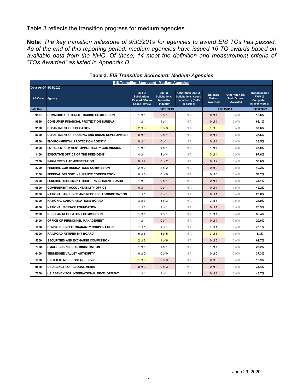Table 3 reflects the transition progress for medium agencies.

**Note**: *The key transition milestone of 9/30/2019 for agencies to award EIS TOs has passed. As of the end of this reporting period, medium agencies have issued 16 TO awards based on available data from the NHC. Of those, 14 meet the definition and measurement criteria of "TOs Awarded" as listed in Appendix D.*

<span id="page-7-0"></span>

| <b>EIS Transition Scorecard: Medium Agencies</b> |                                                |                                                                         |                                                                       |                                                                                     |                                      |                                                        |                                                                      |  |
|--------------------------------------------------|------------------------------------------------|-------------------------------------------------------------------------|-----------------------------------------------------------------------|-------------------------------------------------------------------------------------|--------------------------------------|--------------------------------------------------------|----------------------------------------------------------------------|--|
| Data As Of: 5/31/2020                            |                                                |                                                                         |                                                                       |                                                                                     |                                      |                                                        |                                                                      |  |
| <b>AB Code</b>                                   | Agency                                         | EIS FO<br><b>Solicitations</b><br>Passed GSA In-<br><b>Scope Review</b> | EIS FO<br><b>Solicitations</b><br><b>Issued to</b><br><b>Industry</b> | Other than EIS FO<br><b>Solicitations Issued</b><br>to Industry (Self-<br>reported) | <b>EIS Task</b><br>Orders<br>Awarded | <b>Other than EIS</b><br><b>Task Orders</b><br>Awarded | <b>Transition SIR</b><br>PWV %<br><b>Completed</b><br>(Disconnected) |  |
| Date Due                                         |                                                |                                                                         | 03/31/2019                                                            |                                                                                     |                                      | 09/30/2019                                             | 09/30/2022                                                           |  |
| 9507                                             | <b>COMMODITY FUTURES TRADING COMMISSION</b>    | 1 of 1                                                                  | $0$ of 1                                                              | N/A                                                                                 | $0$ of 1                             | $0$ of $0$                                             | 19.6%                                                                |  |
| 9559                                             | <b>CONSUMER FINANCIAL PROTECTION BUREAU</b>    | 1 of 1                                                                  | 1 of 1                                                                | N/A                                                                                 | $0$ of 1                             | $0$ of $0$                                             | 66.1%                                                                |  |
| 9100                                             | DEPARTMENT OF EDUCATION                        | $2$ of $3$                                                              | $2$ of $3$                                                            | N/A                                                                                 | $1$ of $3$                           | $0$ of $0$                                             | 37.6%                                                                |  |
| 8600                                             | DEPARTMENT OF HOUSING AND URBAN DEVELOPMENT    | $0$ of 1                                                                | $0$ of 1                                                              | N/A                                                                                 | $0$ of 1                             | $0$ of $0$                                             | 37.6%                                                                |  |
| 6800                                             | <b>ENVIRONMENTAL PROTECTION AGENCY</b>         | $0$ of 1                                                                | $0$ of 1                                                              | N/A                                                                                 | $0$ of 1                             | $0$ of $0$                                             | 33.5%                                                                |  |
| 4500                                             | <b>EQUAL EMPLOYMENT OPPORTUNITY COMMISSION</b> | 1 of 1                                                                  | 1 of 1                                                                | N/A                                                                                 | 1 of 1                               | $0$ of $0$                                             | 47.0%                                                                |  |
| 1100                                             | <b>EXECUTIVE OFFICE OF THE PRESIDENT</b>       | 4 of 4                                                                  | 4 of 4                                                                | N/A                                                                                 | $3$ of $4$                           | $0$ of $0$                                             | 97.6%                                                                |  |
| 7800                                             | <b>FARM CREDIT ADMINISTRATION</b>              | $0$ of $2$                                                              | $0$ of $2$                                                            | N/A                                                                                 | $0$ of $2$                           | $0$ of $0$                                             | 55.0%                                                                |  |
| 2700                                             | FEDERAL COMMUNICATIONS COMMISSION              | $2$ of $2$                                                              | 2 of 2                                                                | N/A                                                                                 | $0$ of $2$                           | $0$ of $0$                                             | 40.2%                                                                |  |
| 5100                                             | FEDERAL DEPOSIT INSURANCE CORPORATION          | $0$ of $0$                                                              | $0$ of $0$                                                            | N/A                                                                                 | $0$ of $0$                           | $0$ of $0$                                             | 53.7%                                                                |  |
| 2600                                             | FEDERAL RETIREMENT THRIFT INVESTMENT BOARD     | 1 of 1                                                                  | $0$ of 1                                                              | N/A                                                                                 | $0$ of 1                             | $0$ of $0$                                             | 34.1%                                                                |  |
| 0500                                             | <b>GOVERNMENT ACCOUNTABILITY OFFICE</b>        | $0$ of 1                                                                | $0$ of 1                                                              | N/A                                                                                 | $0$ of 1                             | $0$ of $0$                                             | 42.2%                                                                |  |
| 8800                                             | NATIONAL ARCHIVES AND RECORDS ADMINISTRATION   | 1 of 1                                                                  | $0$ of 1                                                              | N/A                                                                                 | $0$ of 1                             | $0$ of $0$                                             | 25.6%                                                                |  |
| 6300                                             | NATIONAL LABOR RELATIONS BOARD                 | 3 of 3                                                                  | 3 of 3                                                                | N/A                                                                                 | 3 of 3                               | $0$ of $0$                                             | 24.9%                                                                |  |
| 4900                                             | <b>NATIONAL SCIENCE FOUNDATION</b>             | 1 of 1                                                                  | 1 of 1                                                                | N/A                                                                                 | $0$ of 1                             | $0$ of $0$                                             | 76.3%                                                                |  |
| 3100                                             | <b>NUCLEAR REGULATORY COMMISSION</b>           | 1 of 1                                                                  | 1 of 1                                                                | N/A                                                                                 | 1 of 1                               | $0$ of $0$                                             | 86.4%                                                                |  |
| 2400                                             | OFFICE OF PERSONNEL MANAGEMENT                 | 1 of 1                                                                  | $0$ of 1                                                              | N/A                                                                                 | $0$ of 1                             | $0$ of $0$                                             | 20.6%                                                                |  |
| 1606                                             | PENSION BENEFIT GUARANTY CORPORATION           | 1 of 1                                                                  | 1 of 1                                                                | N/A                                                                                 | 1 of 1                               | $0$ of $0$                                             | 73.1%                                                                |  |
| 6000                                             | <b>RAILROAD RETIREMENT BOARD</b>               | 5 of 5                                                                  | 3 of 5                                                                | N/A                                                                                 | 3 of 5                               | $0$ of $0$                                             | 8.3%                                                                 |  |
| 5000                                             | SECURITIES AND EXCHANGE COMMISSION             | $2$ of $6$                                                              | $1$ of $6$                                                            | N/A                                                                                 | $0$ of $6$                           | $0$ of $0$                                             | 62.7%                                                                |  |
| 7300                                             | SMALL BUSINESS ADMINISTRATION                  | 1 of 1                                                                  | 1 of 1                                                                | N/A                                                                                 | 1 of 1                               | $0$ of $0$                                             | 23.2%                                                                |  |
| 6400                                             | TENNESSEE VALLEY AUTHORITY                     | $0$ of $0$                                                              | $0$ of $0$                                                            | N/A                                                                                 | $0$ of $0$                           | $0$ of $0$                                             | 37.3%                                                                |  |
| 1800                                             | UNITED STATES POSTAL SERVICE                   | $1$ of $3$                                                              | $0$ of $3$                                                            | N/A                                                                                 | $0$ of $3$                           | $0$ of $0$                                             | 15.9%                                                                |  |
| 9568                                             | US AGENCY FOR GLOBAL MEDIA                     | $0$ of $3$                                                              | $0$ of $3$                                                            | N/A                                                                                 | $0$ of $3$                           | $0$ of $0$                                             | 34.4%                                                                |  |
| 7200                                             | US AGENCY FOR INTERNATIONAL DEVELOPMENT        | 1 of 1                                                                  | 1 of 1                                                                | N/A                                                                                 | $0$ of 1                             | $0$ of $0$                                             | 43.7%                                                                |  |

**Table 3.** *EIS Transition Scorecard: Medium Agencies*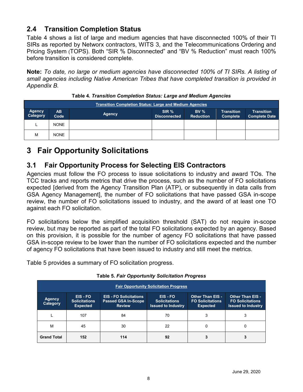### <span id="page-8-0"></span>**2.4 Transition Completion Status**

Table 4 shows a list of large and medium agencies that have disconnected 100% of their TI SIRs as reported by Networx contractors, WITS 3, and the Telecommunications Ordering and Pricing System (TOPS). Both "SIR % Disconnected" and "BV % Reduction" must reach 100% before transition is considered complete.

**Note:** *To date, no large or medium agencies have disconnected 100% of TI SIRs. A listing of small agencies including Native American Tribes that have completed transition is provided in Appendix B.* 

<span id="page-8-3"></span>

| <b>Transition Completion Status: Large and Medium Agencies</b> |             |               |                                         |                            |                                      |                                           |  |  |
|----------------------------------------------------------------|-------------|---------------|-----------------------------------------|----------------------------|--------------------------------------|-------------------------------------------|--|--|
| <b>Agency</b><br>Category                                      | AB.<br>Code | <b>Agency</b> | SIR <sup>%</sup><br><b>Disconnected</b> | BV $%$<br><b>Reduction</b> | <b>Transition</b><br><b>Complete</b> | <b>Transition</b><br><b>Complete Date</b> |  |  |
|                                                                | <b>NONE</b> |               |                                         |                            |                                      |                                           |  |  |
| М                                                              | <b>NONE</b> |               |                                         |                            |                                      |                                           |  |  |

**Table 4.** *Transition Completion Status: Large and Medium Agencies*

### <span id="page-8-1"></span>**3 Fair Opportunity Solicitations**

### <span id="page-8-2"></span>**3.1 Fair Opportunity Process for Selecting EIS Contractors**

Agencies must follow the FO process to issue solicitations to industry and award TOs. The TCC tracks and reports metrics that drive the process, such as the number of FO solicitations expected [derived from the Agency Transition Plan (ATP), or subsequently in data calls from GSA Agency Management], the number of FO solicitations that have passed GSA in-scope review, the number of FO solicitations issued to industry, and the award of at least one TO against each FO solicitation.

FO solicitations below the simplified acquisition threshold (SAT) do not require in-scope review, but may be reported as part of the total FO solicitations expected by an agency. Based on this provision, it is possible for the number of agency FO solicitations that have passed GSA in-scope review to be lower than the number of FO solicitations expected and the number of agency FO solicitations that have been issued to industry and still meet the metrics.

Table 5 provides a summary of FO solicitation progress.

<span id="page-8-4"></span>

| <b>Fair Opportunity Solicitation Progress</b> |                                                   |                                                                              |                                                             |                                                                       |                                                                                 |  |  |
|-----------------------------------------------|---------------------------------------------------|------------------------------------------------------------------------------|-------------------------------------------------------------|-----------------------------------------------------------------------|---------------------------------------------------------------------------------|--|--|
| <b>Agency</b><br>Category                     | EIS-FO<br><b>Solicitations</b><br><b>Expected</b> | <b>EIS - FO Solicitations</b><br><b>Passed GSA In-Scope</b><br><b>Review</b> | EIS-FO<br><b>Solicitations</b><br><b>Issued to Industry</b> | <b>Other Than EIS -</b><br><b>FO Solicitations</b><br><b>Expected</b> | <b>Other Than EIS -</b><br><b>FO Solicitations</b><br><b>Issued to Industry</b> |  |  |
|                                               | 107                                               | 84                                                                           | 70                                                          |                                                                       | 3                                                                               |  |  |
| М                                             | 45                                                | 30                                                                           | 22                                                          |                                                                       | 0                                                                               |  |  |
| <b>Grand Total</b>                            | 152                                               | 114                                                                          | 92                                                          |                                                                       |                                                                                 |  |  |

**Table 5.** *Fair Opportunity Solicitation Progress*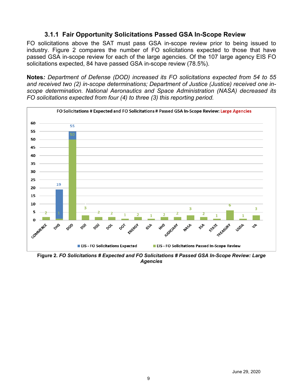#### **3.1.1 Fair Opportunity Solicitations Passed GSA In-Scope Review**

<span id="page-9-0"></span>FO solicitations above the SAT must pass GSA in-scope review prior to being issued to industry. Figure 2 compares the number of FO solicitations expected to those that have passed GSA in-scope review for each of the large agencies. Of the 107 large agency EIS FO solicitations expected, 84 have passed GSA in-scope review (78.5%).

**Notes***: Department of Defense (DOD) increased its FO solicitations expected from 54 to 55 and received two (2) in-scope determinations; Department of Justice (Justice) received one inscope determination. National Aeronautics and Space Administration (NASA) decreased its FO solicitations expected from four (4) to three (3) this reporting period.*



**Figure 2.** *FO Solicitations # Expected and FO Solicitations # Passed GSA In-Scope Review: Large Agencies*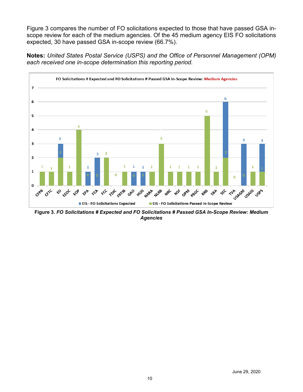Figure 3 compares the number of FO solicitations expected to those that have passed GSA inscope review for each of the medium agencies. Of the 45 medium agency EIS FO solicitations expected, 30 have passed GSA in-scope review (66.7%).

**Notes:** *United States Postal Service (USPS) and the Office of Personnel Management (OPM) each received one in-scope determination this reporting period.*



<span id="page-10-0"></span>**Figure 3.** *FO Solicitations # Expected and FO Solicitations # Passed GSA In-Scope Review: Medium Agencies*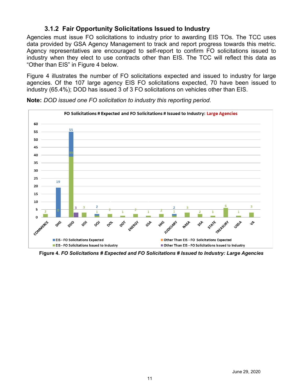#### **3.1.2 Fair Opportunity Solicitations Issued to Industry**

Agencies must issue FO solicitations to industry prior to awarding EIS TOs. The TCC uses data provided by GSA Agency Management to track and report progress towards this metric. Agency representatives are encouraged to self-report to confirm FO solicitations issued to industry when they elect to use contracts other than EIS. The TCC will reflect this data as "Other than EIS" in Figure 4 below.

Figure 4 illustrates the number of FO solicitations expected and issued to industry for large agencies. Of the 107 large agency EIS FO solicitations expected, 70 have been issued to industry (65.4%); DOD has issued 3 of 3 FO solicitations on vehicles other than EIS.



**Note:** *DOD issued one FO solicitation to industry this reporting period.* 

**Figure 4.** *FO Solicitations # Expected and FO Solicitations # Issued to Industry: Large Agencies*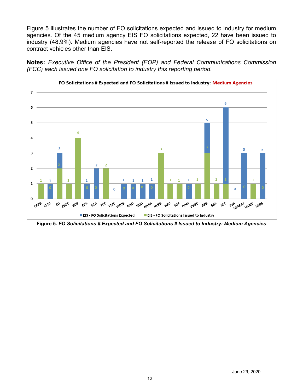Figure 5 illustrates the number of FO solicitations expected and issued to industry for medium agencies. Of the 45 medium agency EIS FO solicitations expected, 22 have been issued to industry (48.9%). Medium agencies have not self-reported the release of FO solicitations on contract vehicles other than EIS.

**Notes:** *Executive Office of the President (EOP) and Federal Communications Commission (FCC) each issued one FO solicitation to industry this reporting period.*



<span id="page-12-0"></span>**Figure 5.** *FO Solicitations # Expected and FO Solicitations # Issued to Industry: Medium Agencies*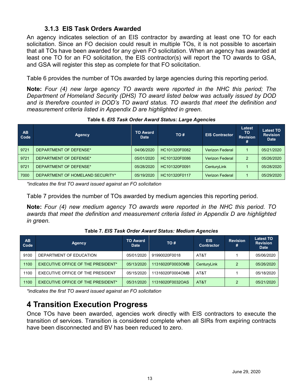#### **3.1.3 EIS Task Orders Awarded**

An agency indicates selection of an EIS contractor by awarding at least one TO for each solicitation. Since an FO decision could result in multiple TOs, it is not possible to ascertain that all TOs have been awarded for any given FO solicitation. When an agency has awarded at least one TO for an FO solicitation, the EIS contractor(s) will report the TO awards to GSA, and GSA will register this step as complete for that FO solicitation.

Table 6 provides the number of TOs awarded by large agencies during this reporting period.

**Note:** *Four (4) new large agency TO awards were reported in the NHC this period; The Department of Homeland Security (DHS) TO award listed below was actually issued by DOD and is therefore counted in DOD's TO award status. TO awards that meet the definition and measurement criteria listed in Appendix D are highlighted in green.*

<span id="page-13-2"></span>

| <b>AB</b><br>Code | Agency                           | <b>TO Award</b><br><b>Date</b> | TO#           | <b>EIS Contractor</b>  | Latest<br>то<br><b>Revision</b> | <b>Latest TO</b><br><b>Revision</b><br><b>Date</b> |
|-------------------|----------------------------------|--------------------------------|---------------|------------------------|---------------------------------|----------------------------------------------------|
| 9721              | DEPARTMENT OF DEFENSE*           | 04/06/2020                     | HC101320F0082 | <b>Verizon Federal</b> |                                 | 05/21/2020                                         |
| 9721              | DEPARTMENT OF DEFENSE*           | 05/01/2020                     | HC101320F0086 | <b>Verizon Federal</b> | 2                               | 05/26/2020                                         |
| 9721              | DEPARTMENT OF DEFENSE*           | 05/28/2020                     | HC101320F0091 | CenturyLink            |                                 | 05/28/2020                                         |
| 7000              | DEPARTMENT OF HOMELAND SECURITY* | 05/19/2020                     | HC101320F0117 | <b>Verizon Federal</b> |                                 | 05/29/2020                                         |

**Table 6.** *EIS Task Order Award Status: Large Agencies*

*\*indicates the first TO award issued against an FO solicitation*

Table 7 provides the number of TOs awarded by medium agencies this reporting period.

**Note:** *Four (4) new medium agency TO awards were reported in the NHC this period. TO awards that meet the definition and measurement criteria listed in Appendix D are highlighted in green.*

<span id="page-13-1"></span>**Table 7.** *EIS Task Order Award Status: Medium Agencies*

<span id="page-13-3"></span>

| <b>AB</b><br>Code | Agency                                    | <b>TO Award</b><br><b>Date</b> | TO #             | <b>EIS</b><br><b>Contractor</b> | <b>Revision</b><br># | <b>Latest TO</b><br><b>Revision</b><br><b>Date</b> |
|-------------------|-------------------------------------------|--------------------------------|------------------|---------------------------------|----------------------|----------------------------------------------------|
| 9100              | DEPARTMENT OF EDUCATION                   | 05/01/2020                     | 91990020F0018    | AT&T                            |                      | 05/06/2020                                         |
| 1100              | EXECUTIVE OFFICE OF THE PRESIDENT*        | 05/13/2020                     | 11316020F0003OMB | CenturyLink                     |                      | 05/26/2020                                         |
| 1100              | EXECUTIVE OFFICE OF THE PRESIDENT         | 05/15/2020                     | 11316020F0004OMB | AT&T                            |                      | 05/18/2020                                         |
| 1100              | <b>EXECUTIVE OFFICE OF THE PRESIDENT*</b> | 05/31/2020                     | 11316020F0032OAS | AT&T                            |                      | 05/21/2020                                         |

<span id="page-13-0"></span>*\*indicates the first TO award issued against an FO solicitation*

### **4 Transition Execution Progress**

Once TOs have been awarded, agencies work directly with EIS contractors to execute the transition of services. Transition is considered complete when all SIRs from expiring contracts have been disconnected and BV has been reduced to zero.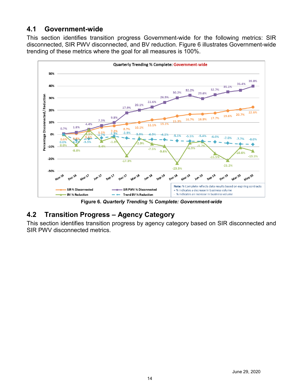### **4.1 Government-wide**

This section identifies transition progress Government-wide for the following metrics: SIR disconnected, SIR PWV disconnected, and BV reduction. Figure 6 illustrates Government-wide trending of these metrics where the goal for all measures is 100%.



**Figure 6.** *Quarterly Trending % Complete: Government-wide*

### <span id="page-14-0"></span>**4.2 Transition Progress – Agency Category**

<span id="page-14-1"></span>This section identifies transition progress by agency category based on SIR disconnected and SIR PWV disconnected metrics.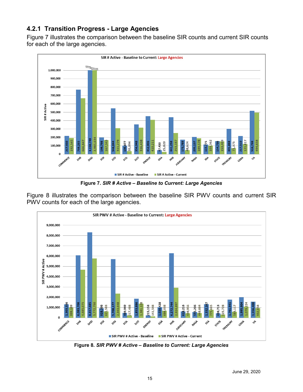### **4.2.1 Transition Progress - Large Agencies**

Figure 7 illustrates the comparison between the baseline SIR counts and current SIR counts for each of the large agencies.



**Figure 7.** *SIR # Active – Baseline to Current: Large Agencies*

Figure 8 illustrates the comparison between the baseline SIR PWV counts and current SIR PWV counts for each of the large agencies.



**Figure 8.** *SIR PWV # Active – Baseline to Current: Large Agencies*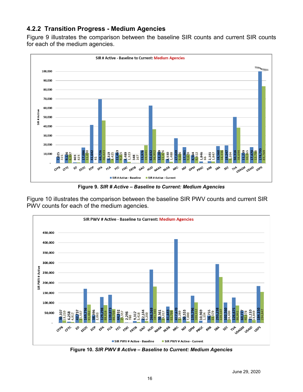#### <span id="page-16-0"></span>**4.2.2 Transition Progress - Medium Agencies**

Figure 9 illustrates the comparison between the baseline SIR counts and current SIR counts for each of the medium agencies.



**Figure 9.** *SIR # Active – Baseline to Current: Medium Agencies*

Figure 10 illustrates the comparison between the baseline SIR PWV counts and current SIR PWV counts for each of the medium agencies.



**Figure 10.** *SIR PWV # Active – Baseline to Current: Medium Agencies*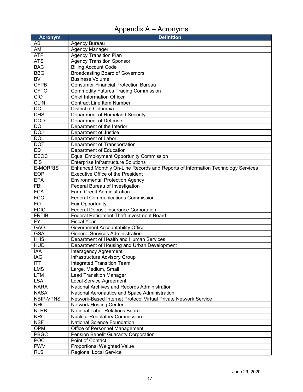# Appendix A – Acronyms

<span id="page-17-0"></span>

| <b>Acronym</b>            | <b>Definition</b>                                                                                                |
|---------------------------|------------------------------------------------------------------------------------------------------------------|
| AB                        | Agency Bureau                                                                                                    |
| AM                        | <b>Agency Manager</b>                                                                                            |
| <b>ATP</b>                | <b>Agency Transition Plan</b>                                                                                    |
| <b>ATS</b>                | <b>Agency Transition Sponsor</b>                                                                                 |
| <b>BAC</b>                | <b>Billing Account Code</b>                                                                                      |
| <b>BBG</b>                | <b>Broadcasting Board of Governors</b>                                                                           |
| $\overline{\mathsf{BV}}$  | <b>Business Volume</b>                                                                                           |
| <b>CFPB</b>               | <b>Consumer Financial Protection Bureau</b>                                                                      |
| <b>CFTC</b>               | <b>Commodity Futures Trading Commission</b>                                                                      |
| CIO                       | <b>Chief Information Officer</b>                                                                                 |
| <b>CLIN</b>               | <b>Contract Line Item Number</b>                                                                                 |
| DC                        | District of Columbia                                                                                             |
| <b>DHS</b>                | Department of Homeland Security                                                                                  |
| <b>DOD</b>                | Department of Defense                                                                                            |
| <b>DOI</b>                | Department of the Interior                                                                                       |
| <b>DOJ</b>                | Department of Justice                                                                                            |
| <b>DOL</b>                | Department of Labor                                                                                              |
| <b>DOT</b>                | Department of Transportation                                                                                     |
| ED                        | Department of Education                                                                                          |
| EEOC                      | <b>Equal Employment Opportunity Commission</b>                                                                   |
| <b>EIS</b>                | <b>Enterprise Infrastructure Solutions</b>                                                                       |
| <b>E-MORRIS</b>           | Enhanced Monthly On-Line Records and Reports of Information Technology Services                                  |
| EOP                       | <b>Executive Office of the President</b>                                                                         |
| <b>EPA</b>                | <b>Environmental Protection Agency</b>                                                                           |
| FBI                       | Federal Bureau of Investigation                                                                                  |
| <b>FCA</b>                | Farm Credit Administration                                                                                       |
| FCC                       | <b>Federal Communications Commission</b>                                                                         |
| <b>FO</b>                 | <b>Fair Opportunity</b>                                                                                          |
| <b>FDIC</b>               | <b>Federal Deposit Insurance Corporation</b>                                                                     |
| <b>FRTIB</b>              | <b>Federal Retirement Thrift Investment Board</b>                                                                |
| $\overline{FY}$           | <b>Fiscal Year</b>                                                                                               |
| GAO                       | Government Accountability Office                                                                                 |
| <b>GSA</b>                | <b>General Services Administration</b>                                                                           |
| <b>HHS</b>                | Department of Health and Human Services                                                                          |
| <b>HUD</b>                | Department of Housing and Urban Development                                                                      |
| IAA                       | <b>Interagency Agreement</b>                                                                                     |
| <b>IAG</b>                | Infrastructure Advisory Group                                                                                    |
| <b>ITT</b>                | <b>Integrated Transition Team</b>                                                                                |
| <b>LMS</b>                | Large, Medium, Small                                                                                             |
| <b>LTM</b>                | <b>Lead Transition Manager</b>                                                                                   |
| <b>LSA</b>                | <b>Local Service Agreement</b>                                                                                   |
| <b>NARA</b>               | National Archives and Records Administration                                                                     |
| <b>NASA</b>               | National Aeronautics and Space Administration<br>Network-Based Internet Protocol Virtual Private Network Service |
| NBIP-VPNS                 |                                                                                                                  |
| <b>NHC</b>                | <b>Network Hosting Center</b>                                                                                    |
| <b>NLRB</b><br><b>NRC</b> | <b>National Labor Relations Board</b>                                                                            |
|                           | <b>Nuclear Regulatory Commission</b>                                                                             |
| <b>NSF</b>                | National Science Foundation                                                                                      |
| OPM<br><b>PBGC</b>        | Office of Personnel Management                                                                                   |
| POC                       | Pension Benefit Guaranty Corporation<br>Point of Contact                                                         |
| <b>PWV</b>                |                                                                                                                  |
|                           | Proportional Weighted Value                                                                                      |
| <b>RLS</b>                | <b>Regional Local Service</b>                                                                                    |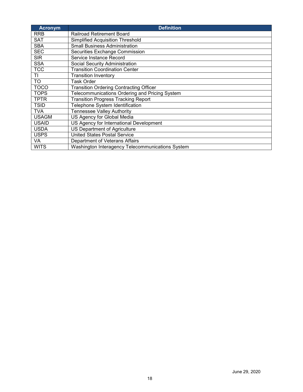| <b>Acronym</b> | <b>Definition</b>                                |
|----------------|--------------------------------------------------|
| <b>RRB</b>     | <b>Railroad Retirement Board</b>                 |
| SAT            | <b>Simplified Acquisition Threshold</b>          |
| <b>SBA</b>     | <b>Small Business Administration</b>             |
| <b>SEC</b>     | Securities Exchange Commission                   |
| <b>SIR</b>     | Service Instance Record                          |
| <b>SSA</b>     | Social Security Administration                   |
| <b>TCC</b>     | <b>Transition Coordination Center</b>            |
| ΤI             | <b>Transition Inventory</b>                      |
| <b>TO</b>      | <b>Task Order</b>                                |
| <b>TOCO</b>    | <b>Transition Ordering Contracting Officer</b>   |
| <b>TOPS</b>    | Telecommunications Ordering and Pricing System   |
| <b>TPTR</b>    | <b>Transition Progress Tracking Report</b>       |
| <b>TSID</b>    | Telephone System Identification                  |
| <b>TVA</b>     | <b>Tennessee Valley Authority</b>                |
| <b>USAGM</b>   | US Agency for Global Media                       |
| <b>USAID</b>   | US Agency for International Development          |
| <b>USDA</b>    | US Department of Agriculture                     |
| <b>USPS</b>    | <b>United States Postal Service</b>              |
| VA             | Department of Veterans Affairs                   |
| <b>WITS</b>    | Washington Interagency Telecommunications System |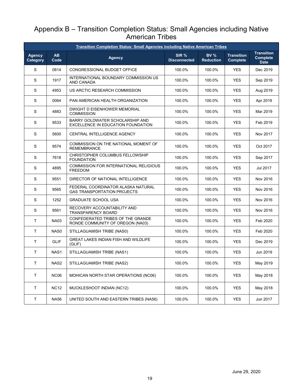### <span id="page-19-0"></span>Appendix B – Transition Completion Status: Small Agencies including Native American Tribes

| <b>Transition Completion Status: Small Agencies including Native American Tribes</b> |                   |                                                                          |                              |                                 |                                      |                                                     |
|--------------------------------------------------------------------------------------|-------------------|--------------------------------------------------------------------------|------------------------------|---------------------------------|--------------------------------------|-----------------------------------------------------|
| <b>Agency</b><br>Category                                                            | <b>AB</b><br>Code | <b>Agency</b>                                                            | SIR %<br><b>Disconnected</b> | <b>BV %</b><br><b>Reduction</b> | <b>Transition</b><br><b>Complete</b> | <b>Transition</b><br><b>Complete</b><br><b>Date</b> |
| S                                                                                    | 0814              | CONGRESSIONAL BUDGET OFFICE                                              | 100.0%                       | 100.0%                          | <b>YES</b>                           | Dec 2019                                            |
| S                                                                                    | 1917              | INTERNATIONAL BOUNDARY COMMISSION US<br>AND CANADA                       | 100.0%                       | 100.0%                          | <b>YES</b>                           | Sep 2019                                            |
| S                                                                                    | 4953              | US ARCTIC RESEARCH COMMISSION                                            | 100.0%                       | 100.0%                          | <b>YES</b>                           | Aug 2019                                            |
| S                                                                                    | 0064              | PAN AMERICAN HEALTH ORGANIZATION                                         | 100.0%                       | 100.0%                          | <b>YES</b>                           | Apr 2019                                            |
| S                                                                                    | 4883              | DWIGHT D EISENHOWER MEMORIAL<br><b>COMMISSION</b>                        | 100.0%                       | 100.0%                          | <b>YES</b>                           | Mar 2019                                            |
| S                                                                                    | 9533              | BARRY GOLDWATER SCHOLARSHIP AND<br>EXCELLENCE IN EDUCATION FOUNDATION    | 100.0%                       | 100.0%                          | <b>YES</b>                           | Feb 2019                                            |
| S                                                                                    | 5600              | CENTRAL INTELLIGENCE AGENCY                                              | 100.0%                       | 100.0%                          | <b>YES</b>                           | Nov 2017                                            |
| S                                                                                    | 9574              | COMMISSION ON THE NATIONAL MOMENT OF<br><b>REMEMBRANCE</b>               | 100.0%                       | 100.0%                          | <b>YES</b>                           | Oct 2017                                            |
| S                                                                                    | 7618              | CHRISTOPHER COLUMBUS FELLOWSHIP<br><b>FOUNDATION</b>                     | 100.0%                       | 100.0%                          | <b>YES</b>                           | Sep 2017                                            |
| S                                                                                    | 4895              | COMMISSION FOR INTERNATIONAL RELIGIOUS<br><b>FREEDOM</b>                 | 100.0%                       | 100.0%                          | <b>YES</b>                           | Jul 2017                                            |
| S                                                                                    | 9551              | DIRECTOR OF NATIONAL INTELLIGENCE                                        | 100.0%                       | 100.0%                          | <b>YES</b>                           | Nov 2016                                            |
| S                                                                                    | 9565              | FEDERAL COORDINATOR ALASKA NATURAL<br><b>GAS TRANSPORTATION PROJECTS</b> | 100.0%                       | 100.0%                          | <b>YES</b>                           | Nov 2016                                            |
| S                                                                                    | 1252              | <b>GRADUATE SCHOOL USA</b>                                               | 100.0%                       | 100.0%                          | <b>YES</b>                           | Nov 2016                                            |
| S                                                                                    | 9561              | RECOVERY ACCOUNTABILITY AND<br>TRANSPARENCY BOARD                        | 100.0%                       | 100.0%                          | <b>YES</b>                           | Nov 2016                                            |
| Τ                                                                                    | <b>NA03</b>       | CONFEDERATED TRIBES OF THE GRANDE<br>RONDE COMMUNITY OF OREGON (NA03)    | 100.0%                       | 100.0%                          | <b>YES</b>                           | Feb 2020                                            |
| T.                                                                                   | NAS0              | STILLAGUAMISH TRIBE (NAS0)                                               | 100.0%                       | 100.0%                          | <b>YES</b>                           | Feb 2020                                            |
| Τ                                                                                    | <b>GLIF</b>       | <b>GREAT LAKES INDIAN FISH AND WILDLIFE</b><br>(GLIF)                    | 100.0%                       | 100.0%                          | <b>YES</b>                           | Dec 2019                                            |
| Τ                                                                                    | NAS1              | STILLAGUAMISH TRIBE (NAS1)                                               | 100.0%                       | 100.0%                          | <b>YES</b>                           | Jun 2019                                            |
| Τ                                                                                    | NAS2              | STILLAGUAMISH TRIBE (NAS2)                                               | 100.0%                       | 100.0%                          | YES                                  | May 2019                                            |
| T                                                                                    | <b>NC06</b>       | MOHICAN NORTH STAR OPERATIONS (NC06)<br>100.0%<br>100.0%<br><b>YES</b>   |                              |                                 | May 2018                             |                                                     |
| T                                                                                    | <b>NC12</b>       | MUCKLESHOOT INDIAN (NC12)                                                | 100.0%                       | 100.0%                          | <b>YES</b>                           | May 2018                                            |
| $\sf T$                                                                              | <b>NA56</b>       | UNITED SOUTH AND EASTERN TRIBES (NA56)                                   | 100.0%                       | 100.0%                          | <b>YES</b>                           | Jun 2017                                            |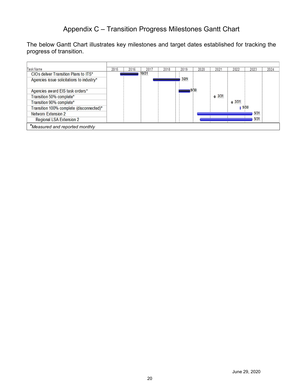### Appendix C – Transition Progress Milestones Gantt Chart

<span id="page-20-0"></span>The below Gantt Chart illustrates key milestones and target dates established for tracking the progress of transition.

| Task Name                                 | 2015 | 2016 | 2017  | 2018 | 2019 | 2020 | 2021  | 2022  | 2023 | 2024 |
|-------------------------------------------|------|------|-------|------|------|------|-------|-------|------|------|
| CIOs deliver Transition Plans to ITS*     |      |      | 10/31 |      |      |      |       |       |      |      |
| Agencies issue solicitations to industry* |      |      |       |      | 3/29 |      |       |       |      |      |
|                                           |      |      |       |      |      |      |       |       |      |      |
| Agencies award EIS task orders*           |      |      |       |      |      | 9/30 |       |       |      |      |
| Transition 50% complete*                  |      |      |       |      |      |      | 43/31 |       |      |      |
| Transition 90% complete*                  |      |      |       |      |      |      |       | &3/31 |      |      |
| Transition 100% complete (disconnected)*  |      |      |       |      |      |      |       | 19/30 |      |      |
| <b>Networx Extension 2</b>                |      |      |       |      |      |      |       |       | 5/31 |      |
| Regional LSA Extension 2                  |      |      |       |      |      |      |       |       | 5/31 |      |
| *Measured and reported monthly            |      |      |       |      |      |      |       |       |      |      |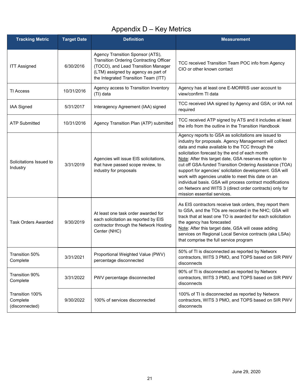# Appendix D – Key Metrics

<span id="page-21-0"></span>

| <b>Tracking Metric</b>                        | <b>Target Date</b> | <b>Definition</b>                                                                                                                                                                                        | <b>Measurement</b>                                                                                                                                                                                                                                                                                                                                                                                                                                                                                                                                                                                                |  |
|-----------------------------------------------|--------------------|----------------------------------------------------------------------------------------------------------------------------------------------------------------------------------------------------------|-------------------------------------------------------------------------------------------------------------------------------------------------------------------------------------------------------------------------------------------------------------------------------------------------------------------------------------------------------------------------------------------------------------------------------------------------------------------------------------------------------------------------------------------------------------------------------------------------------------------|--|
| <b>ITT Assigned</b>                           | 6/30/2016          | Agency Transition Sponsor (ATS),<br><b>Transition Ordering Contracting Officer</b><br>(TOCO), and Lead Transition Manager<br>(LTM) assigned by agency as part of<br>the Integrated Transition Team (ITT) | TCC received Transition Team POC info from Agency<br>CIO or other known contact                                                                                                                                                                                                                                                                                                                                                                                                                                                                                                                                   |  |
| <b>TI Access</b>                              | 10/31/2016         | Agency access to Transition Inventory<br>(TI) data                                                                                                                                                       | Agency has at least one E-MORRIS user account to<br>view/confirm TI data                                                                                                                                                                                                                                                                                                                                                                                                                                                                                                                                          |  |
| IAA Signed                                    | 5/31/2017          | Interagency Agreement (IAA) signed                                                                                                                                                                       | TCC received IAA signed by Agency and GSA; or IAA not<br>required                                                                                                                                                                                                                                                                                                                                                                                                                                                                                                                                                 |  |
| <b>ATP Submitted</b>                          | 10/31/2016         | Agency Transition Plan (ATP) submitted                                                                                                                                                                   | TCC received ATP signed by ATS and it includes at least<br>the info from the outline in the Transition Handbook                                                                                                                                                                                                                                                                                                                                                                                                                                                                                                   |  |
| Solicitations Issued to<br>Industry           | 3/31/2019          | Agencies will issue EIS solicitations,<br>that have passed scope review, to<br>industry for proposals                                                                                                    | Agency reports to GSA as solicitations are issued to<br>industry for proposals. Agency Management will collect<br>data and make available to the TCC through the<br>solicitation forecast by the end of each month<br>Note: After this target date, GSA reserves the option to<br>cut off GSA-funded Transition Ordering Assistance (TOA)<br>support for agencies' solicitation development. GSA will<br>work with agencies unable to meet this date on an<br>individual basis. GSA will process contract modifications<br>on Networx and WITS 3 (direct order contracts) only for<br>mission essential services. |  |
| <b>Task Orders Awarded</b>                    | 9/30/2019          | At least one task order awarded for<br>each solicitation as reported by EIS<br>contractor through the Network Hosting<br>Center (NHC)                                                                    | As EIS contractors receive task orders, they report them<br>to GSA, and the TOs are recorded in the NHC; GSA will<br>track that at least one TO is awarded for each solicitation<br>the agency has forecasted<br>Note: After this target date, GSA will cease adding<br>services on Regional Local Service contracts (aka LSAs)<br>that comprise the full service program                                                                                                                                                                                                                                         |  |
| Transition 50%<br>Complete                    | 3/31/2021          | Proportional Weighted Value (PWV)<br>percentage disconnected                                                                                                                                             | 50% of TI is disconnected as reported by Networx<br>contractors, WITS 3 PMO, and TOPS based on SIR PWV<br>disconnects                                                                                                                                                                                                                                                                                                                                                                                                                                                                                             |  |
| Transition 90%<br>Complete                    | 3/31/2022          | PWV percentage disconnected                                                                                                                                                                              | 90% of TI is disconnected as reported by Networx<br>contractors, WITS 3 PMO, and TOPS based on SIR PWV<br>disconnects                                                                                                                                                                                                                                                                                                                                                                                                                                                                                             |  |
| Transition 100%<br>Complete<br>(disconnected) | 9/30/2022          | 100% of services disconnected                                                                                                                                                                            | 100% of TI is disconnected as reported by Networx<br>contractors, WITS 3 PMO, and TOPS based on SIR PWV<br>disconnects                                                                                                                                                                                                                                                                                                                                                                                                                                                                                            |  |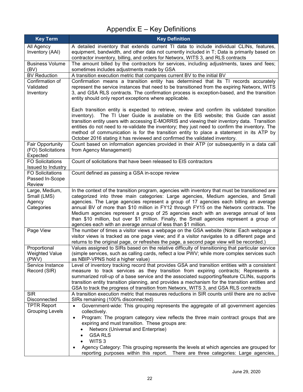# Appendix E – Key Definitions

<span id="page-22-0"></span>

| <b>Key Term</b>                            | <b>Key Definition</b>                                                                                                                                                                           |
|--------------------------------------------|-------------------------------------------------------------------------------------------------------------------------------------------------------------------------------------------------|
| All Agency                                 | A detailed inventory that extends current TI data to include individual CLINs, features,                                                                                                        |
| Inventory (AAI)                            | equipment, bandwidth, and other data not currently included in T; Data is primarily based on<br>contractor inventory, billing, and orders for Networx, WITS 3, and RLS contracts                |
| <b>Business Volume</b>                     | The amount billed by the contractors for services, including adjustments, taxes and fees;                                                                                                       |
| (BV)                                       | sometimes includes adjustments made by GSA                                                                                                                                                      |
| <b>BV Reduction</b>                        | A transition execution metric that compares current BV to the initial BV                                                                                                                        |
| Confirmation of<br>Validated               | Confirmation means a transition entity has determined that its TI records accurately<br>represent the service instances that need to be transitioned from the expiring Networx, WITS            |
| Inventory                                  | 3, and GSA RLS contracts. The confirmation process is exception-based, and the transition                                                                                                       |
|                                            | entity should only report exceptions where applicable.                                                                                                                                          |
|                                            | Each transition entity is expected to retrieve, review and confirm its validated transition                                                                                                     |
|                                            | inventory). The TI User Guide is available on the EIS website; this Guide can assist                                                                                                            |
|                                            | transition entity users with accessing E-MORRIS and viewing their inventory data. Transition<br>entities do not need to re-validate the inventory; they just need to confirm the inventory. The |
|                                            | method of communication is for the transition entity to place a statement in its ATP by                                                                                                         |
|                                            | October 2016 stating it has reviewed and confirmed the validated inventory.                                                                                                                     |
| Fair Opportunity                           | Count based on information agencies provided in their ATP (or subsequently in a data call                                                                                                       |
| (FO) Solicitations<br>Expected             | from Agency Management)                                                                                                                                                                         |
| <b>FO Solicitations</b>                    | Count of solicitations that have been released to EIS contractors                                                                                                                               |
| Issued to Industry                         |                                                                                                                                                                                                 |
| <b>FO Solicitations</b><br>Passed In-Scope | Count defined as passing a GSA in-scope review                                                                                                                                                  |
| Review                                     |                                                                                                                                                                                                 |
| Large, Medium,                             | In the context of the transition program, agencies with inventory that must be transitioned are                                                                                                 |
| Small (LMS)                                | categorized into three main categories: Large agencies, Medium agencies, and Small                                                                                                              |
| Agency<br>Categories                       | agencies. The Large agencies represent a group of 17 agencies each billing an average<br>annual BV of more than \$10 million in FY12 through FY15 on the Networx contracts. The                 |
|                                            | Medium agencies represent a group of 25 agencies each with an average annual of less                                                                                                            |
|                                            | than \$10 million, but over \$1 million. Finally, the Small agencies represent a group of                                                                                                       |
|                                            | agencies each with an average annual of less than \$1 million.                                                                                                                                  |
| Page View                                  | The number of times a visitor views a webpage on the GSA website (Note: Each webpage a<br>visitor views is tracked as one page view; and if a visitor navigates to a different page and         |
|                                            | returns to the original page, or refreshes the page, a second page view will be recorded.)                                                                                                      |
| Proportional                               | Values assigned to SIRs based on the relative difficulty of transitioning that particular service                                                                                               |
| <b>Weighted Value</b>                      | (simple services, such as calling cards, reflect a low PWV; while more complex services such                                                                                                    |
| (PWV)                                      | as NBIP-VPNS hold a higher value)                                                                                                                                                               |
| Service Instance<br>Record (SIR)           | Level of inventory tracking record that provides GSA and transition entities with a consistent<br>measure to track services as they transition from expiring contracts; Represents a            |
|                                            | summarized roll-up of a base service and the associated supporting/feature CLINs, supports                                                                                                      |
|                                            | transition entity transition planning, and provides a mechanism for the transition entities and                                                                                                 |
|                                            | GSA to track the progress of transition from Networx, WITS 3, and GSA RLS contracts                                                                                                             |
| <b>SIR</b><br>Disconnected                 | A transition execution metric that measures reductions in SIR counts until there are no active<br>SIRs remaining (100% disconnected)                                                            |
| <b>TPTR Report</b>                         | Government-wide: This grouping represents the aggregate of all government agencies<br>$\bullet$                                                                                                 |
| <b>Grouping Levels</b>                     | collectively.                                                                                                                                                                                   |
|                                            | Program: The program category view reflects the three main contract groups that are<br>$\bullet$                                                                                                |
|                                            | expiring and must transition. These groups are:                                                                                                                                                 |
|                                            | Networx (Universal and Enterprise)<br><b>GSA RLS</b>                                                                                                                                            |
|                                            | WITS <sub>3</sub>                                                                                                                                                                               |
|                                            | Agency Category: This grouping represents the levels at which agencies are grouped for<br>$\bullet$                                                                                             |
|                                            | reporting purposes within this report. There are three categories: Large agencies,                                                                                                              |